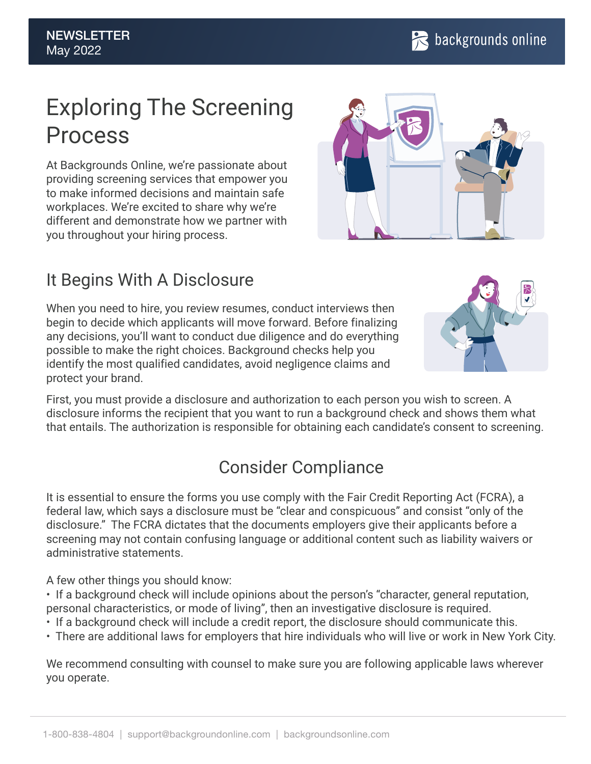# Exploring The Screening Process

At Backgrounds Online, we're passionate about providing screening services that empower you to make informed decisions and maintain safe workplaces. We're excited to share why we're different and demonstrate how we partner with you throughout your hiring process.



#### It Begins With A Disclosure

When you need to hire, you review resumes, conduct interviews then begin to decide which applicants will move forward. Before finalizing any decisions, you'll want to conduct due diligence and do everything possible to make the right choices. Background checks help you identify the most qualified candidates, avoid negligence claims and protect your brand.



First, you must provide a disclosure and authorization to each person you wish to screen. A disclosure informs the recipient that you want to run a background check and shows them what that entails. The authorization is responsible for obtaining each candidate's consent to screening.

#### Consider Compliance

It is essential to ensure the forms you use comply with the Fair Credit Reporting Act (FCRA), a federal law, which says a disclosure must be "clear and conspicuous" and consist "only of the disclosure." The FCRA dictates that the documents employers give their applicants before a screening may not contain confusing language or additional content such as liability waivers or administrative statements.

A few other things you should know:

• If a background check will include opinions about the person's "character, general reputation, personal characteristics, or mode of living", then an investigative disclosure is required.

- If a background check will include a credit report, the disclosure should communicate this.
- There are additional laws for employers that hire individuals who will live or work in New York City.

We recommend consulting with counsel to make sure you are following applicable laws wherever you operate.